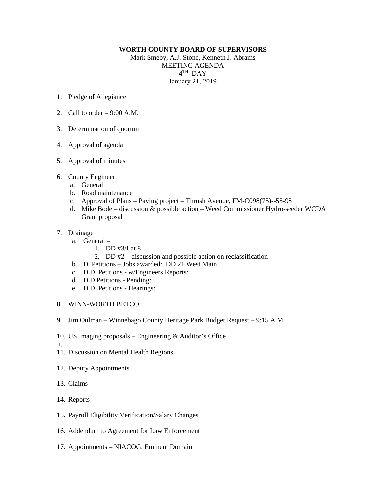## **WORTH COUNTY BOARD OF SUPERVISORS**

Mark Smeby, A.J. Stone, Kenneth J. Abrams MEETING AGENDA 4TH DAY January 21, 2019

- 1. Pledge of Allegiance
- 2. Call to order  $-9:00$  A.M.
- 3. Determination of quorum
- 4. Approval of agenda
- 5. Approval of minutes
- 6. County Engineer
	- a. General
	- b. Road maintenance
	- c. Approval of Plans Paving project Thrush Avenue, FM-C098(75)--55-98
	- d. Mike Bode discussion & possible action Weed Commissioner Hydro-seeder WCDA Grant proposal
- 7. Drainage
	- a. General
		- 1. DD #3/Lat 8
		- 2. DD #2 discussion and possible action on reclassification
	- b. D. Petitions Jobs awarded: DD 21 West Main
	- c. D.D. Petitions w/Engineers Reports:
	- d. D.D Petitions Pending:
	- e. D.D. Petitions Hearings:
- 8. WINN-WORTH BETCO
- 9. Jim Oulman Winnebago County Heritage Park Budget Request 9:15 A.M.
- 10. US Imaging proposals Engineering & Auditor's Office
- i.
- 11. Discussion on Mental Health Regions
- 12. Deputy Appointments
- 13. Claims
- 14. Reports
- 15. Payroll Eligibility Verification/Salary Changes
- 16. Addendum to Agreement for Law Enforcement
- 17. Appointments NIACOG, Eminent Domain